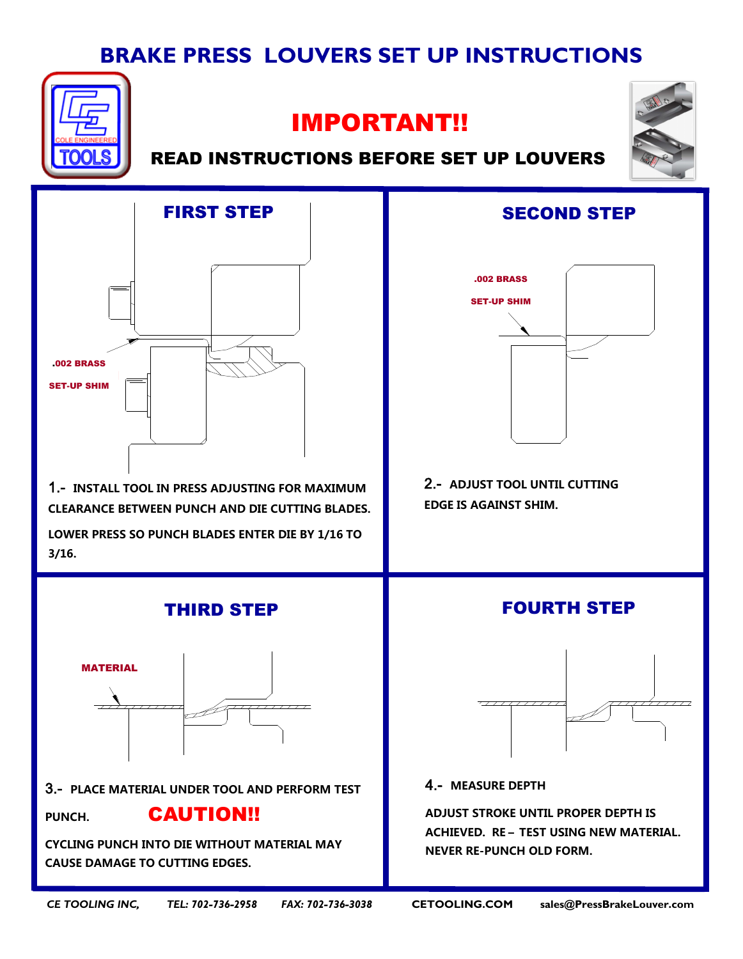# **BRAKE PRESS LOUVERS SET UP INSTRUCTIONS**



## IMPORTANT!!



### READ INSTRUCTIONS BEFORE SET UP LOUVERS



1.- INSTALL TOOL IN PRESS ADJUSTING FOR MAXIMUM And Die Cutting Black Black Black Black Black Black Black Black Black Black Black Black Black Black Black Black CLEARANCE BETWEEN PUNCH AND DIE CUTTING BLADES.

**LOWER PRESS SO PUNCH BLADES ENTER DIE BY 1/16 TO 3/16.**



CYCLING PUNCH INTO DIE WITHOUT MATERIAL **CYCLING PUNCH INTO DIE WITHOUT MATERIAL MAY**  MAY CAUSE DAMAGE TO CUTTING EDGES. **CAUSE DAMAGE TO CUTTING EDGES.**



**2.- ADJUST TOOL UNTIL CUTTING EDGE IS AGAINST SHIM.**



MEASURE DEPTH, ADJUST STROKE 4.- **MEASURE DEPTH**

UNTIL PROPER DEPTH IS ACHIVED. RESING TRESPERSE IN 19 ACHIEVED. RE – TEST USING NEW MATERIAL. **ADJUST STROKE UNTIL PROPER DEPTH IS NEVER RE-PUNCH OLD FORM.**